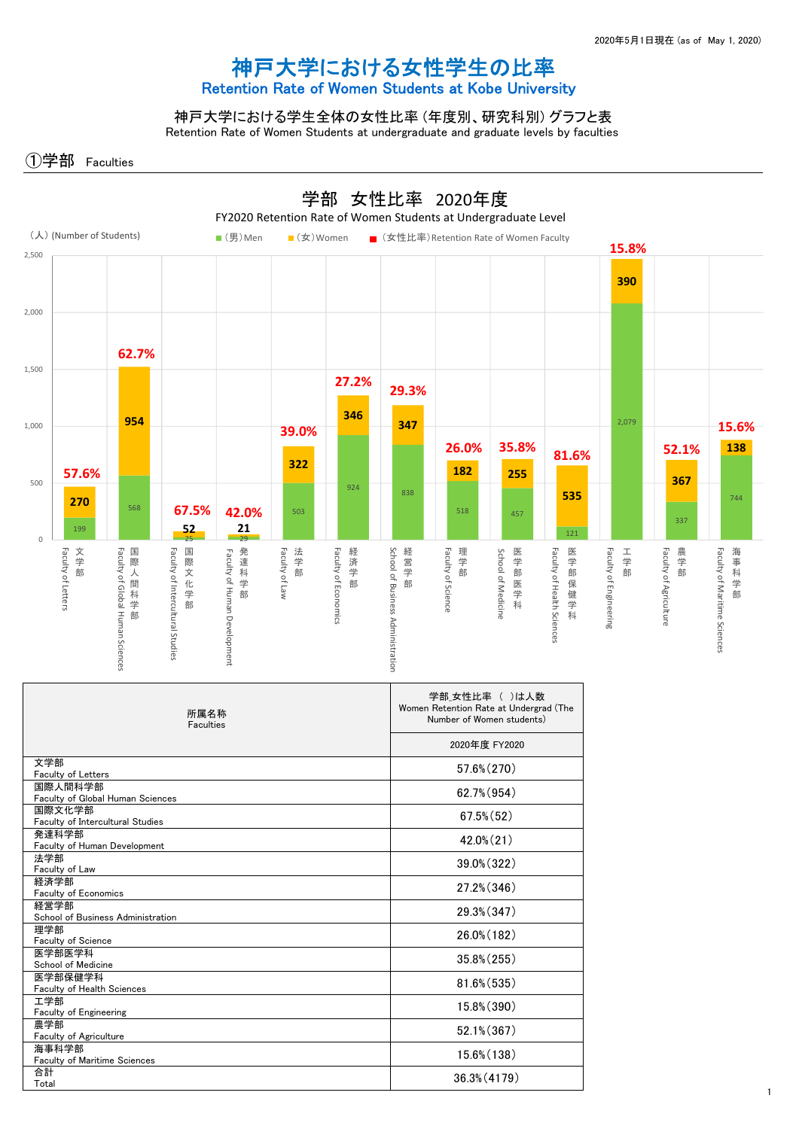## 神戸大学における女性学生の比率 Retention Rate of Women Students at Kobe University

神戸大学における学生全体の女性比率 (年度別、研究科別) グラフと表 Retention Rate of Women Students at undergraduate and graduate levels by faculties

①学部 Faculties



| 所属名称<br>Faculties                            | 学部 女性比率 ( )は人数<br>Women Retention Rate at Undergrad (The<br>Number of Women students) |
|----------------------------------------------|---------------------------------------------------------------------------------------|
|                                              | 2020年度 FY2020                                                                         |
| 文学部<br><b>Faculty of Letters</b>             | 57.6% (270)                                                                           |
| 国際人間科学部<br>Faculty of Global Human Sciences  | 62.7% (954)                                                                           |
| 国際文化学部<br>Faculty of Intercultural Studies   | $67.5\%$ $(52)$                                                                       |
| 発達科学部<br>Faculty of Human Development        | $42.0\%$ $(21)$                                                                       |
| 法学部<br>Faculty of Law                        | 39.0% (322)                                                                           |
| 経済学部<br>Faculty of Economics                 | 27.2% (346)                                                                           |
| 経営学部<br>School of Business Administration    | 29.3% (347)                                                                           |
| 理学部<br>Faculty of Science                    | 26.0% (182)                                                                           |
| 医学部医学科<br>School of Medicine                 | $35.8\%$ $(255)$                                                                      |
| 医学部保健学科<br>Faculty of Health Sciences        | 81.6% (535)                                                                           |
| 工学部<br>Faculty of Engineering                | 15.8% (390)                                                                           |
| 農学部<br>Faculty of Agriculture                | 52.1% (367)                                                                           |
| 海事科学部<br><b>Faculty of Maritime Sciences</b> | 15.6% (138)                                                                           |
| 合計<br>Total                                  | 36.3% (4179)                                                                          |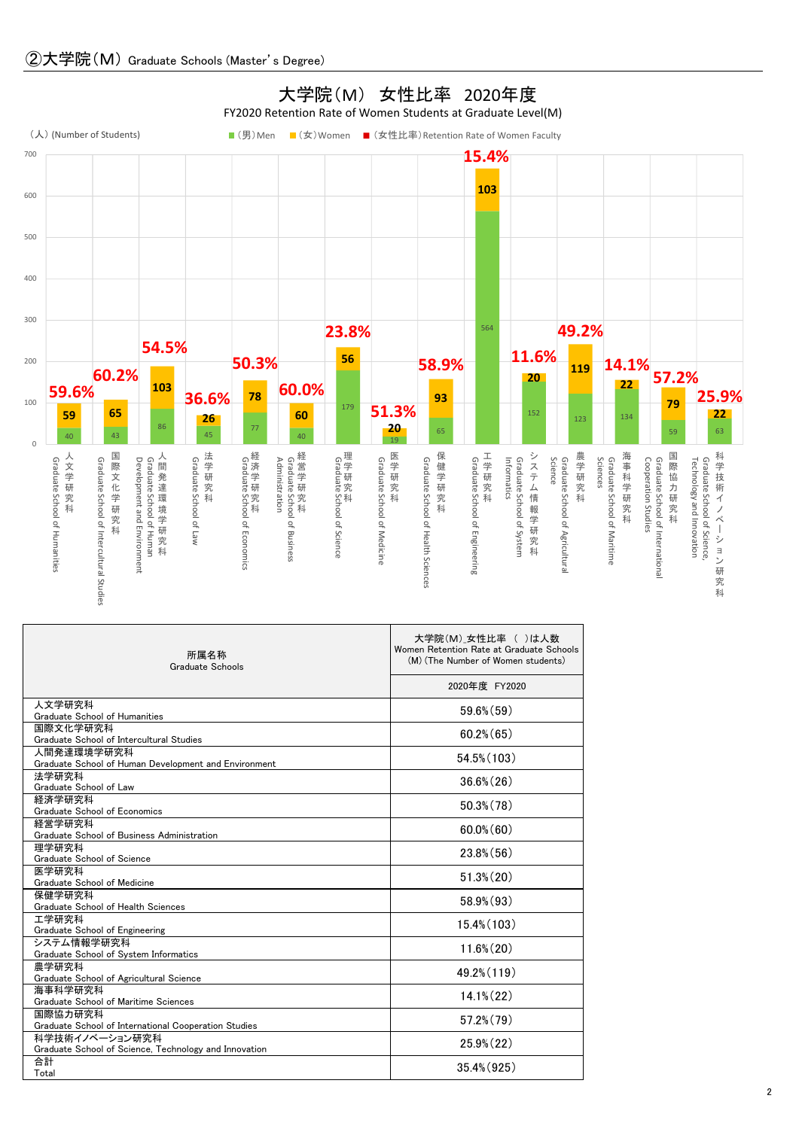

| 所属名称<br>Graduate Schools                                                | 大学院(M)_女性比率 ()は人数<br>Women Retention Rate at Graduate Schools<br>(M) (The Number of Women students) |  |
|-------------------------------------------------------------------------|-----------------------------------------------------------------------------------------------------|--|
|                                                                         | 2020年度 FY2020                                                                                       |  |
| 人文学研究科<br>Graduate School of Humanities                                 | $59.6\%$ $(59)$                                                                                     |  |
| 国際文化学研究科<br>Graduate School of Intercultural Studies                    | $60.2\%$ (65)                                                                                       |  |
| 人間発達環境学研究科<br>Graduate School of Human Development and Environment      | 54.5% (103)                                                                                         |  |
| 法学研究科<br>Graduate School of Law                                         | $36.6\%$ $(26)$                                                                                     |  |
| 経済学研究科<br>Graduate School of Economics                                  | $50.3\%$ $(78)$                                                                                     |  |
| 経営学研究科<br>Graduate School of Business Administration                    | $60.0\%$ (60)                                                                                       |  |
| 理学研究科<br>Graduate School of Science                                     | $23.8\%$ (56)                                                                                       |  |
| 医学研究科<br>Graduate School of Medicine                                    | $51.3\%$ $(20)$                                                                                     |  |
| 保健学研究科<br>Graduate School of Health Sciences                            | $58.9\%$ $(93)$                                                                                     |  |
| 工学研究科<br>Graduate School of Engineering                                 | $15.4\%$ (103)                                                                                      |  |
| システム情報学研究科<br>Graduate School of System Informatics                     | $11.6\%$ $(20)$                                                                                     |  |
| 農学研究科<br>Graduate School of Agricultural Science                        | 49.2% (119)                                                                                         |  |
| 海事科学研究科<br>Graduate School of Maritime Sciences                         | $14.1\%$ $(22)$                                                                                     |  |
| 国際協力研究科<br>Graduate School of International Cooperation Studies         | $57.2\%$ $(79)$                                                                                     |  |
| 科学技術イノベーション研究科<br>Graduate School of Science, Technology and Innovation | $25.9\%$ $(22)$                                                                                     |  |
| 合計<br>Total                                                             | 35.4% (925)                                                                                         |  |

## 大学院(M) 女性比率 2020年度 FY2020 Retention Rate of Women Students at Graduate Level(M)